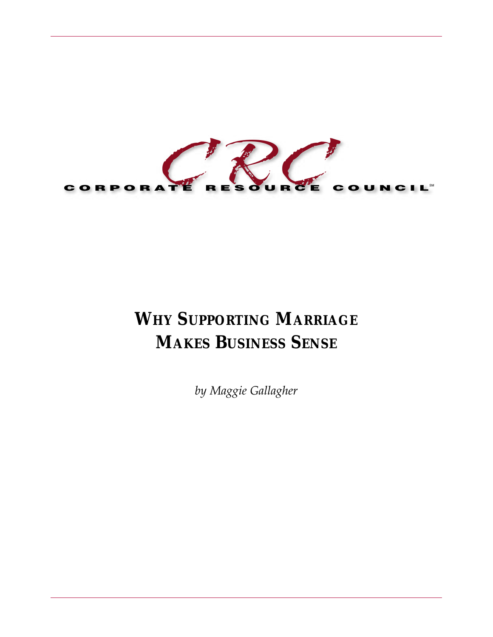

# **WHY SUPPORTING MARRIAGE MAKES BUSINESS SENSE**

*by Maggie Gallagher*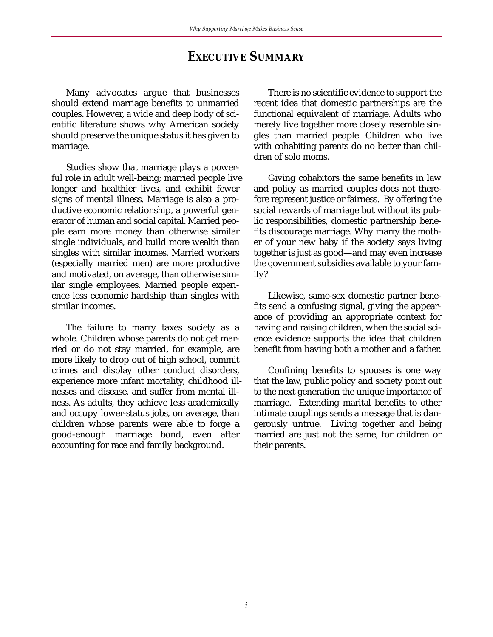# **EXECUTIVE SUMMARY**

Many advocates argue that businesses should extend marriage benefits to unmarried couples. However, a wide and deep body of scientific literature shows why American society should preserve the unique status it has given to marriage.

Studies show that marriage plays a powerful role in adult well-being; married people live longer and healthier lives, and exhibit fewer signs of mental illness. Marriage is also a productive economic relationship, a powerful generator of human and social capital. Married people earn more money than otherwise similar single individuals, and build more wealth than singles with similar incomes. Married workers (especially married men) are more productive and motivated, on average, than otherwise similar single employees. Married people experience less economic hardship than singles with similar incomes.

The failure to marry taxes society as a whole. Children whose parents do not get married or do not stay married, for example, are more likely to drop out of high school, commit crimes and display other conduct disorders, experience more infant mortality, childhood illnesses and disease, and suffer from mental illness. As adults, they achieve less academically and occupy lower-status jobs, on average, than children whose parents were able to forge a good-enough marriage bond, even after accounting for race and family background.

There is no scientific evidence to support the recent idea that domestic partnerships are the functional equivalent of marriage. Adults who merely live together more closely resemble singles than married people. Children who live with cohabiting parents do no better than children of solo moms.

Giving cohabitors the same benefits in law and policy as married couples does not therefore represent justice or fairness. By offering the social rewards of marriage but without its public responsibilities, domestic partnership benefits discourage marriage. Why marry the mother of your new baby if the society says living together is just as good—and may even increase the government subsidies available to your family?

Likewise, same-sex domestic partner benefits send a confusing signal, giving the appearance of providing an appropriate context for having and raising children, when the social science evidence supports the idea that children benefit from having both a mother and a father.

Confining benefits to spouses is one way that the law, public policy and society point out to the next generation the unique importance of marriage. Extending marital benefits to other intimate couplings sends a message that is dangerously untrue. Living together and being married are just not the same, for children or their parents.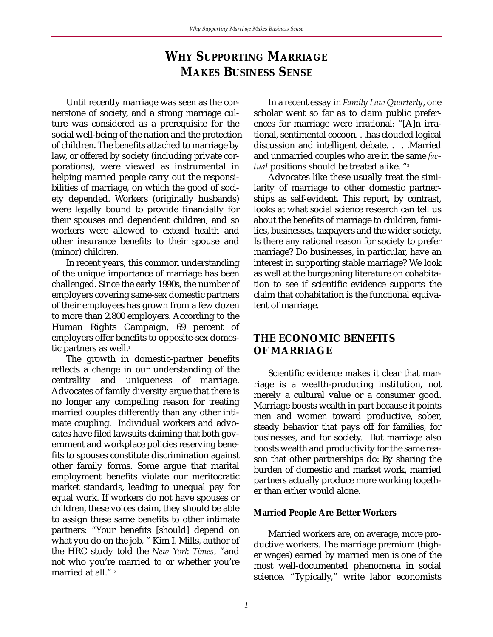# **WHY SUPPORTING MARRIAGE MAKES BUSINESS SENSE**

Until recently marriage was seen as the cornerstone of society, and a strong marriage culture was considered as a prerequisite for the social well-being of the nation and the protection of children. The benefits attached to marriage by law, or offered by society (including private corporations), were viewed as instrumental in helping married people carry out the responsibilities of marriage, on which the good of society depended. Workers (originally husbands) were legally bound to provide financially for their spouses and dependent children, and so workers were allowed to extend health and other insurance benefits to their spouse and (minor) children.

In recent years, this common understanding of the unique importance of marriage has been challenged. Since the early 1990s, the number of employers covering same-sex domestic partners of their employees has grown from a few dozen to more than 2,800 employers. According to the Human Rights Campaign, 69 percent of employers offer benefits to opposite-sex domestic partners as well.<sup>1</sup>

The growth in domestic-partner benefits reflects a change in our understanding of the centrality and uniqueness of marriage. Advocates of family diversity argue that there is no longer any compelling reason for treating married couples differently than any other intimate coupling. Individual workers and advocates have filed lawsuits claiming that both government and workplace policies reserving benefits to spouses constitute discrimination against other family forms. Some argue that marital employment benefits violate our meritocratic market standards, leading to unequal pay for equal work. If workers do not have spouses or children, these voices claim, they should be able to assign these same benefits to other intimate partners: "Your benefits [should] depend on what you do on the job, " Kim I. Mills, author of the HRC study told the *New York Times*, "and not who you're married to or whether you're married at all."<sup>2</sup>

In a recent essay in *Family Law Quarterly*, one scholar went so far as to claim public preferences for marriage were irrational: "[A]n irrational, sentimental cocoon. . .has clouded logical discussion and intelligent debate. . . .Married and unmarried couples who are in the same *factual* positions should be treated alike. "3

Advocates like these usually treat the similarity of marriage to other domestic partnerships as self-evident. This report, by contrast, looks at what social science research can tell us about the benefits of marriage to children, families, businesses, taxpayers and the wider society. Is there any rational reason for society to prefer marriage? Do businesses, in particular, have an interest in supporting stable marriage? We look as well at the burgeoning literature on cohabitation to see if scientific evidence supports the claim that cohabitation is the functional equivalent of marriage.

# **THE ECONOMIC BENEFITS OF MARRIAGE**

Scientific evidence makes it clear that marriage is a wealth-producing institution, not merely a cultural value or a consumer good. Marriage boosts wealth in part because it points men and women toward productive, sober, steady behavior that pays off for families, for businesses, and for society. But marriage also boosts wealth and productivity for the same reason that other partnerships do: By sharing the burden of domestic and market work, married partners actually produce more working together than either would alone.

## **Married People Are Better Workers**

Married workers are, on average, more productive workers. The marriage premium (higher wages) earned by married men is one of the most well-documented phenomena in social science. "Typically," write labor economists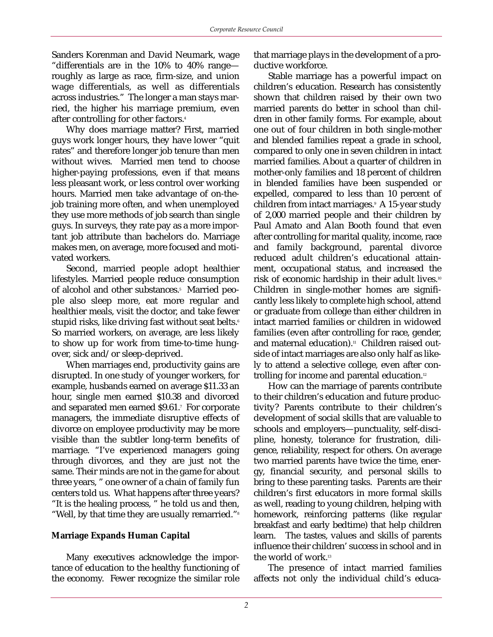Sanders Korenman and David Neumark, wage "differentials are in the 10% to 40% range roughly as large as race, firm-size, and union wage differentials, as well as differentials across industries." The longer a man stays married, the higher his marriage premium, even after controlling for other factors.<sup>4</sup>

Why does marriage matter? First, married guys work longer hours, they have lower "quit rates" and therefore longer job tenure than men without wives. Married men tend to choose higher-paying professions, even if that means less pleasant work, or less control over working hours. Married men take advantage of on-thejob training more often, and when unemployed they use more methods of job search than single guys. In surveys, they rate pay as a more important job attribute than bachelors do. Marriage makes men, on average, more focused and motivated workers.

Second, married people adopt healthier lifestyles. Married people reduce consumption of alcohol and other substances.<sup>5</sup> Married people also sleep more, eat more regular and healthier meals, visit the doctor, and take fewer stupid risks, like driving fast without seat belts.<sup>6</sup> So married workers, on average, are less likely to show up for work from time-to-time hungover, sick and/or sleep-deprived.

When marriages end, productivity gains are disrupted. In one study of younger workers, for example, husbands earned on average \$11.33 an hour, single men earned \$10.38 and divorced and separated men earned \$9.61.7 For corporate managers, the immediate disruptive effects of divorce on employee productivity may be more visible than the subtler long-term benefits of marriage. "I've experienced managers going through divorces, and they are just not the same. Their minds are not in the game for about three years, " one owner of a chain of family fun centers told us. What happens after three years? "It is the healing process, " he told us and then, "Well, by that time they are usually remarried."8

## **Marriage Expands Human Capital**

Many executives acknowledge the importance of education to the healthy functioning of the economy. Fewer recognize the similar role

that marriage plays in the development of a productive workforce.

Stable marriage has a powerful impact on children's education. Research has consistently shown that children raised by their own two married parents do better in school than children in other family forms. For example, about one out of four children in both single-mother and blended families repeat a grade in school, compared to only one in seven children in intact married families. About a quarter of children in mother-only families and 18 percent of children in blended families have been suspended or expelled, compared to less than 10 percent of children from intact marriages.<sup>9</sup> A 15-year study of 2,000 married people and their children by Paul Amato and Alan Booth found that even after controlling for marital quality, income, race and family background, parental divorce reduced adult children's educational attainment, occupational status, and increased the risk of economic hardship in their adult lives.<sup>10</sup> Children in single-mother homes are significantly less likely to complete high school, attend or graduate from college than either children in intact married families or children in widowed families (even after controlling for race, gender, and maternal education).<sup>11</sup> Children raised outside of intact marriages are also only half as likely to attend a selective college, even after controlling for income and parental education.<sup>12</sup>

How can the marriage of parents contribute to their children's education and future productivity? Parents contribute to their children's development of social skills that are valuable to schools and employers—punctuality, self-discipline, honesty, tolerance for frustration, diligence, reliability, respect for others. On average two married parents have twice the time, energy, financial security, and personal skills to bring to these parenting tasks. Parents are their children's first educators in more formal skills as well, reading to young children, helping with homework, reinforcing patterns (like regular breakfast and early bedtime) that help children learn. The tastes, values and skills of parents influence their children' success in school and in the world of work.13

The presence of intact married families affects not only the individual child's educa-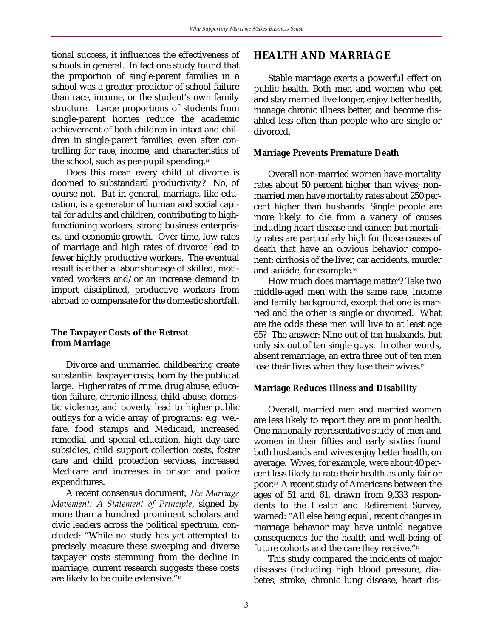tional success, it influences the effectiveness of schools in general. In fact one study found that the proportion of single-parent families in a school was a greater predictor of school failure than race, income, or the student's own family structure. Large proportions of students from single-parent homes reduce the academic achievement of both children in intact and children in single-parent families, even after controlling for race, income, and characteristics of the school, such as per-pupil spending.<sup>14</sup>

Does this mean every child of divorce is doomed to substandard productivity? No, of course not. But in general, marriage, like education, is a generator of human and social capital for adults and children, contributing to highfunctioning workers, strong business enterprises, and economic growth. Over time, low rates of marriage and high rates of divorce lead to fewer highly productive workers. The eventual result is either a labor shortage of skilled, motivated workers and/or an increase demand to import disciplined, productive workers from abroad to compensate for the domestic shortfall.

#### **The Taxpayer Costs of the Retreat from Marriage**

Divorce and unmarried childbearing create substantial taxpayer costs, born by the public at large. Higher rates of crime, drug abuse, education failure, chronic illness, child abuse, domestic violence, and poverty lead to higher public outlays for a wide array of programs: e.g. welfare, food stamps and Medicaid, increased remedial and special education, high day-care subsidies, child support collection costs, foster care and child protection services, increased Medicare and increases in prison and police expenditures.

A recent consensus document, *The Marriage Movement: A Statement of Principle*, signed by more than a hundred prominent scholars and civic leaders across the political spectrum, concluded: "While no study has yet attempted to precisely measure these sweeping and diverse taxpayer costs stemming from the decline in marriage, current research suggests these costs are likely to be quite extensive."<sup>15</sup>

# **HEALTH AND MARRIAGE**

Stable marriage exerts a powerful effect on public health. Both men and women who get and stay married live longer, enjoy better health, manage chronic illness better, and become disabled less often than people who are single or divorced.

## **Marriage Prevents Premature Death**

Overall non-married women have mortality rates about 50 percent higher than wives; nonmarried men have mortality rates about 250 percent higher than husbands. Single people are more likely to die from a variety of causes including heart disease and cancer, but mortality rates are particularly high for those causes of death that have an obvious behavior component: cirrhosis of the liver, car accidents, murder and suicide, for example.16

How much does marriage matter? Take two middle-aged men with the same race, income and family background, except that one is married and the other is single or divorced. What are the odds these men will live to at least age 65? The answer: Nine out of ten husbands, but only six out of ten single guys. In other words, absent remarriage, an extra three out of ten men lose their lives when they lose their wives.<sup>17</sup>

## **Marriage Reduces Illness and Disability**

Overall, married men and married women are less likely to report they are in poor health. One nationally representative study of men and women in their fifties and early sixties found both husbands and wives enjoy better health, on average. Wives, for example, were about 40 percent less likely to rate their health as only fair or poor.<sup>18</sup> A recent study of Americans between the ages of 51 and 61, drawn from 9,333 respondents to the Health and Retirement Survey, warned: "All else being equal, recent changes in marriage behavior may have untold negative consequences for the health and well-being of future cohorts and the care they receive."19

This study compared the incidents of major diseases (including high blood pressure, diabetes, stroke, chronic lung disease, heart dis-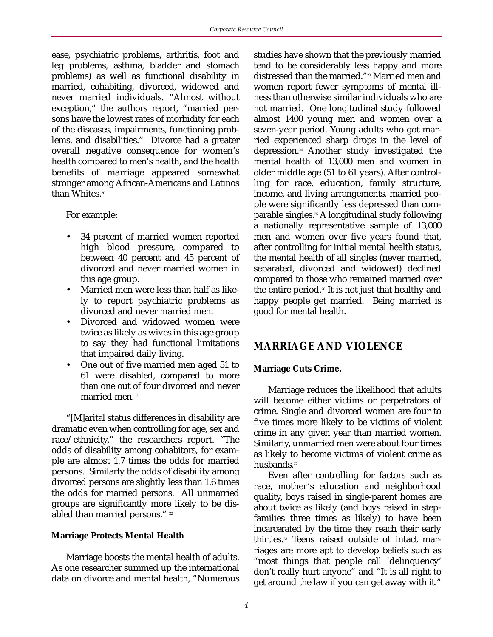ease, psychiatric problems, arthritis, foot and leg problems, asthma, bladder and stomach problems) as well as functional disability in married, cohabiting, divorced, widowed and never married individuals. "Almost without exception," the authors report, "married persons have the lowest rates of morbidity for each of the diseases, impairments, functioning problems, and disabilities." Divorce had a greater overall negative consequence for women's health compared to men's health, and the health benefits of marriage appeared somewhat stronger among African-Americans and Latinos than Whites.<sup>20</sup>

For example:

- 34 percent of married women reported high blood pressure, compared to between 40 percent and 45 percent of divorced and never married women in this age group.
- Married men were less than half as likely to report psychiatric problems as divorced and never married men.
- Divorced and widowed women were twice as likely as wives in this age group to say they had functional limitations that impaired daily living.
- One out of five married men aged 51 to 61 were disabled, compared to more than one out of four divorced and never married men.<sup>21</sup>

"[M]arital status differences in disability are dramatic even when controlling for age, sex and race/ethnicity," the researchers report. "The odds of disability among cohabitors, for example are almost 1.7 times the odds for married persons. Similarly the odds of disability among divorced persons are slightly less than 1.6 times the odds for married persons. All unmarried groups are significantly more likely to be disabled than married persons."  $22$ 

## **Marriage Protects Mental Health**

Marriage boosts the mental health of adults. As one researcher summed up the international data on divorce and mental health, "Numerous

studies have shown that the previously married tend to be considerably less happy and more distressed than the married."<sup>23</sup> Married men and women report fewer symptoms of mental illness than otherwise similar individuals who are not married. One longitudinal study followed almost 1400 young men and women over a seven-year period. Young adults who got married experienced sharp drops in the level of depression.24 Another study investigated the mental health of 13,000 men and women in older middle age (51 to 61 years). After controlling for race, education, family structure, income, and living arrangements, married people were significantly less depressed than comparable singles.<sup>25</sup> A longitudinal study following a nationally representative sample of 13,000 men and women over five years found that, after controlling for initial mental health status, the mental health of all singles (never married, separated, divorced and widowed) declined compared to those who remained married over the entire period.<sup>26</sup> It is not just that healthy and happy people get married. Being married is good for mental health.

# **MARRIAGE AND VIOLENCE**

## **Marriage Cuts Crime.**

Marriage reduces the likelihood that adults will become either victims or perpetrators of crime. Single and divorced women are four to five times more likely to be victims of violent crime in any given year than married women. Similarly, unmarried men were about four times as likely to become victims of violent crime as husbands.<sup>27</sup>

Even after controlling for factors such as race, mother's education and neighborhood quality, boys raised in single-parent homes are about twice as likely (and boys raised in stepfamilies three times as likely) to have been incarcerated by the time they reach their early thirties.28 Teens raised outside of intact marriages are more apt to develop beliefs such as "most things that people call 'delinquency' don't really hurt anyone" and "It is all right to get around the law if you can get away with it."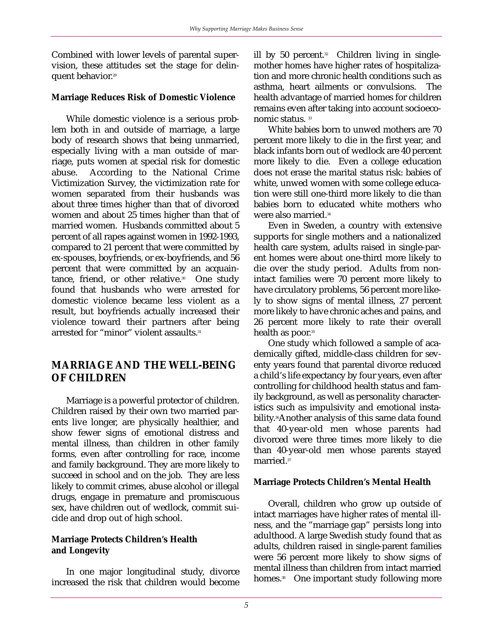Combined with lower levels of parental supervision, these attitudes set the stage for delinquent behavior.29

#### **Marriage Reduces Risk of Domestic Violence**

While domestic violence is a serious problem both in and outside of marriage, a large body of research shows that being unmarried, especially living with a man outside of marriage, puts women at special risk for domestic abuse. According to the National Crime Victimization Survey, the victimization rate for women separated from their husbands was about three times higher than that of divorced women and about 25 times higher than that of married women. Husbands committed about 5 percent of all rapes against women in 1992-1993, compared to 21 percent that were committed by ex-spouses, boyfriends, or ex-boyfriends, and 56 percent that were committed by an acquaintance, friend, or other relative.<sup>30</sup> One study found that husbands who were arrested for domestic violence became less violent as a result, but boyfriends actually increased their violence toward their partners after being arrested for "minor" violent assaults.<sup>31</sup>

# **MARRIAGE AND THE WELL-BEING OF CHILDREN**

Marriage is a powerful protector of children. Children raised by their own two married parents live longer, are physically healthier, and show fewer signs of emotional distress and mental illness, than children in other family forms, even after controlling for race, income and family background. They are more likely to succeed in school and on the job. They are less likely to commit crimes, abuse alcohol or illegal drugs, engage in premature and promiscuous sex, have children out of wedlock, commit suicide and drop out of high school.

## **Marriage Protects Children's Health and Longevity**

In one major longitudinal study, divorce increased the risk that children would become ill by 50 percent. $32$  Children living in singlemother homes have higher rates of hospitalization and more chronic health conditions such as asthma, heart ailments or convulsions. The health advantage of married homes for children remains even after taking into account socioeconomic status.<sup>33</sup>

White babies born to unwed mothers are 70 percent more likely to die in the first year, and black infants born out of wedlock are 40 percent more likely to die. Even a college education does not erase the marital status risk: babies of white, unwed women with some college education were still one-third more likely to die than babies born to educated white mothers who were also married.34

Even in Sweden, a country with extensive supports for single mothers and a nationalized health care system, adults raised in single-parent homes were about one-third more likely to die over the study period. Adults from nonintact families were 70 percent more likely to have circulatory problems, 56 percent more likely to show signs of mental illness, 27 percent more likely to have chronic aches and pains, and 26 percent more likely to rate their overall health as poor.<sup>35</sup>

One study which followed a sample of academically gifted, middle-class children for seventy years found that parental divorce reduced a child's life expectancy by four years, even after controlling for childhood health status and family background, as well as personality characteristics such as impulsivity and emotional instability.<sup>36</sup>Another analysis of this same data found that 40-year-old men whose parents had divorced were three times more likely to die than 40-year-old men whose parents stayed married.<sup>37</sup>

## **Marriage Protects Children's Mental Health**

Overall, children who grow up outside of intact marriages have higher rates of mental illness, and the "marriage gap" persists long into adulthood. A large Swedish study found that as adults, children raised in single-parent families were 56 percent more likely to show signs of mental illness than children from intact married homes.<sup>38</sup> One important study following more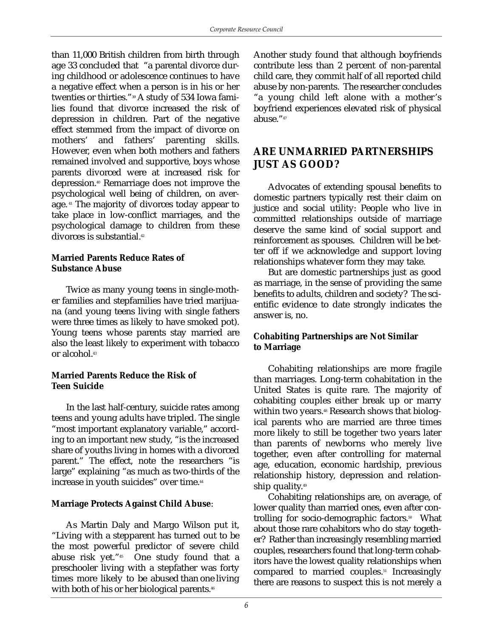than 11,000 British children from birth through age 33 concluded that "a parental divorce during childhood or adolescence continues to have a negative effect when a person is in his or her twenties or thirties."39 A study of 534 Iowa families found that divorce increased the risk of depression in children. Part of the negative effect stemmed from the impact of divorce on mothers' and fathers' parenting skills. However, even when both mothers and fathers remained involved and supportive, boys whose parents divorced were at increased risk for depression.40 Remarriage does not improve the psychological well being of children, on average. <sup>41</sup> The majority of divorces today appear to take place in low-conflict marriages, and the psychological damage to children from these divorces is substantial.42

#### **Married Parents Reduce Rates of Substance Abuse**

Twice as many young teens in single-mother families and stepfamilies have tried marijuana (and young teens living with single fathers were three times as likely to have smoked pot). Young teens whose parents stay married are also the least likely to experiment with tobacco or alcohol.<sup>43</sup>

## **Married Parents Reduce the Risk of Teen Suicide**

In the last half-century, suicide rates among teens and young adults have tripled. The single "most important explanatory variable," according to an important new study, "is the increased share of youths living in homes with a divorced parent." The effect, note the researchers "is large" explaining "as much as two-thirds of the increase in youth suicides" over time.<sup>44</sup>

## **Marriage Protects Against Child Abuse**:

As Martin Daly and Margo Wilson put it, "Living with a stepparent has turned out to be the most powerful predictor of severe child abuse risk yet."<sup>45</sup> One study found that a preschooler living with a stepfather was forty times more likely to be abused than one living with both of his or her biological parents.<sup>46</sup>

Another study found that although boyfriends contribute less than 2 percent of non-parental child care, they commit half of all reported child abuse by non-parents. The researcher concludes "a young child left alone with a mother's boyfriend experiences elevated risk of physical abuse."47

# **ARE UNMARRIED PARTNERSHIPS JUST AS GOOD?**

Advocates of extending spousal benefits to domestic partners typically rest their claim on justice and social utility: People who live in committed relationships outside of marriage deserve the same kind of social support and reinforcement as spouses. Children will be better off if we acknowledge and support loving relationships whatever form they may take.

But are domestic partnerships just as good as marriage, in the sense of providing the same benefits to adults, children and society? The scientific evidence to date strongly indicates the answer is, no.

## **Cohabiting Partnerships are Not Similar to Marriage**

Cohabiting relationships are more fragile than marriages. Long-term cohabitation in the United States is quite rare. The majority of cohabiting couples either break up or marry within two years.<sup>48</sup> Research shows that biological parents who are married are three times more likely to still be together two years later than parents of newborns who merely live together, even after controlling for maternal age, education, economic hardship, previous relationship history, depression and relationship quality.<sup>49</sup>

Cohabiting relationships are, on average, of lower quality than married ones, even after controlling for socio-demographic factors.<sup>50</sup> What about those rare cohabitors who do stay together? Rather than increasingly resembling married couples, researchers found that long-term cohabitors have the lowest quality relationships when compared to married couples.<sup>51</sup> Increasingly there are reasons to suspect this is not merely a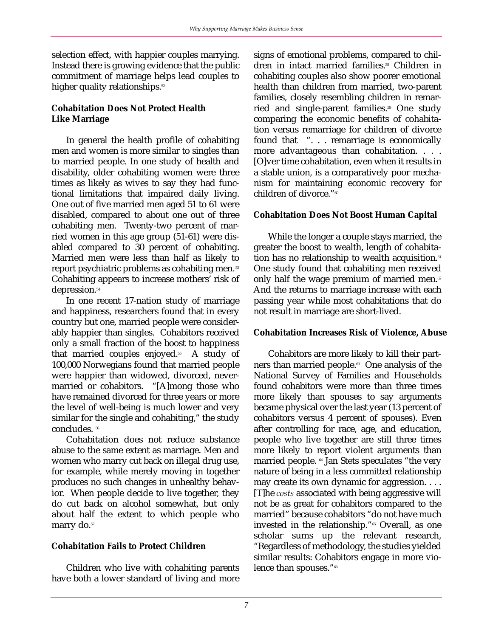selection effect, with happier couples marrying. Instead there is growing evidence that the public commitment of marriage helps lead couples to higher quality relationships.<sup>52</sup>

#### **Cohabitation Does Not Protect Health Like Marriage**

In general the health profile of cohabiting men and women is more similar to singles than to married people. In one study of health and disability, older cohabiting women were three times as likely as wives to say they had functional limitations that impaired daily living. One out of five married men aged 51 to 61 were disabled, compared to about one out of three cohabiting men. Twenty-two percent of married women in this age group (51-61) were disabled compared to 30 percent of cohabiting. Married men were less than half as likely to report psychiatric problems as cohabiting men.<sup>53</sup> Cohabiting appears to increase mothers' risk of depression.<sup>54</sup>

In one recent 17-nation study of marriage and happiness, researchers found that in every country but one, married people were considerably happier than singles. Cohabitors received only a small fraction of the boost to happiness that married couples enjoyed.<sup>55</sup> A study of 100,000 Norwegians found that married people were happier than widowed, divorced, nevermarried or cohabitors. "[A]mong those who have remained divorced for three years or more the level of well-being is much lower and very similar for the single and cohabiting," the study concludes. 56

Cohabitation does not reduce substance abuse to the same extent as marriage. Men and women who marry cut back on illegal drug use, for example, while merely moving in together produces no such changes in unhealthy behavior. When people decide to live together, they do cut back on alcohol somewhat, but only about half the extent to which people who marry do.<sup>57</sup>

## **Cohabitation Fails to Protect Children**

Children who live with cohabiting parents have both a lower standard of living and more

signs of emotional problems, compared to children in intact married families.<sup>58</sup> Children in cohabiting couples also show poorer emotional health than children from married, two-parent families, closely resembling children in remarried and single-parent families.<sup>59</sup> One study comparing the economic benefits of cohabitation versus remarriage for children of divorce found that ". . . remarriage is economically more advantageous than cohabitation. . . . [O]ver time cohabitation, even when it results in a stable union, is a comparatively poor mechanism for maintaining economic recovery for children of divorce."<sup>60</sup>

## **Cohabitation Does Not Boost Human Capital**

While the longer a couple stays married, the greater the boost to wealth, length of cohabitation has no relationship to wealth acquisition.<sup>61</sup> One study found that cohabiting men received only half the wage premium of married men.<sup>62</sup> And the returns to marriage increase with each passing year while most cohabitations that do not result in marriage are short-lived.

#### **Cohabitation Increases Risk of Violence, Abuse**

Cohabitors are more likely to kill their partners than married people.<sup>63</sup> One analysis of the National Survey of Families and Households found cohabitors were more than three times more likely than spouses to say arguments became physical over the last year (13 percent of cohabitors versus 4 percent of spouses). Even after controlling for race, age, and education, people who live together are still three times more likely to report violent arguments than married people. 64 Jan Stets speculates "the very nature of being in a less committed relationship may create its own dynamic for aggression. . . . [T]he *costs* associated with being aggressive will not be as great for cohabitors compared to the married" because cohabitors "do not have much invested in the relationship."<sup>65</sup> Overall, as one scholar sums up the relevant research, "Regardless of methodology, the studies yielded similar results: Cohabitors engage in more violence than spouses."<sup>66</sup>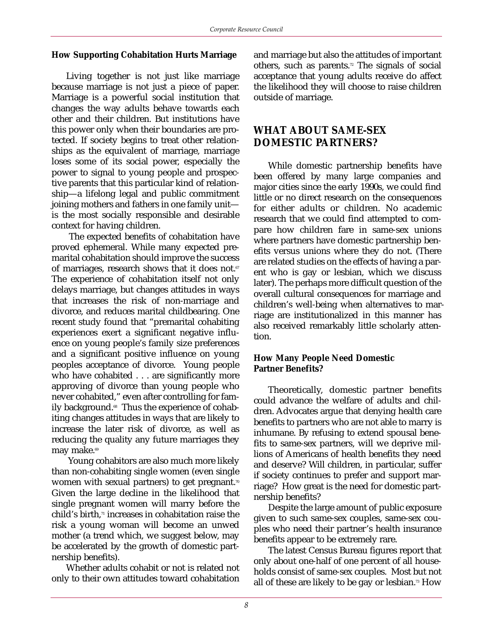#### **How Supporting Cohabitation Hurts Marriage**

Living together is not just like marriage because marriage is not just a piece of paper. Marriage is a powerful social institution that changes the way adults behave towards each other and their children. But institutions have this power only when their boundaries are protected. If society begins to treat other relationships as the equivalent of marriage, marriage loses some of its social power, especially the power to signal to young people and prospective parents that this particular kind of relationship—a lifelong legal and public commitment joining mothers and fathers in one family unit is the most socially responsible and desirable context for having children.

The expected benefits of cohabitation have proved ephemeral. While many expected premarital cohabitation should improve the success of marriages, research shows that it does not. $67$ The experience of cohabitation itself not only delays marriage, but changes attitudes in ways that increases the risk of non-marriage and divorce, and reduces marital childbearing. One recent study found that "premarital cohabiting experiences exert a significant negative influence on young people's family size preferences and a significant positive influence on young peoples acceptance of divorce. Young people who have cohabited . . . are significantly more approving of divorce than young people who never cohabited," even after controlling for family background.<sup>68</sup> Thus the experience of cohabiting changes attitudes in ways that are likely to increase the later risk of divorce, as well as reducing the quality any future marriages they may make.<sup>69</sup>

Young cohabitors are also much more likely than non-cohabiting single women (even single women with sexual partners) to get pregnant.<sup>70</sup> Given the large decline in the likelihood that single pregnant women will marry before the child's birth, $\pi$  increases in cohabitation raise the risk a young woman will become an unwed mother (a trend which, we suggest below, may be accelerated by the growth of domestic partnership benefits).

Whether adults cohabit or not is related not only to their own attitudes toward cohabitation

and marriage but also the attitudes of important others, such as parents.<sup>72</sup> The signals of social acceptance that young adults receive do affect the likelihood they will choose to raise children outside of marriage.

# **WHAT ABOUT SAME-SEX DOMESTIC PARTNERS?**

While domestic partnership benefits have been offered by many large companies and major cities since the early 1990s, we could find little or no direct research on the consequences for either adults or children. No academic research that we could find attempted to compare how children fare in same-sex unions where partners have domestic partnership benefits versus unions where they do not. (There are related studies on the effects of having a parent who is gay or lesbian, which we discuss later). The perhaps more difficult question of the overall cultural consequences for marriage and children's well-being when alternatives to marriage are institutionalized in this manner has also received remarkably little scholarly attention.

#### **How Many People Need Domestic Partner Benefits?**

Theoretically, domestic partner benefits could advance the welfare of adults and children. Advocates argue that denying health care benefits to partners who are not able to marry is inhumane. By refusing to extend spousal benefits to same-sex partners, will we deprive millions of Americans of health benefits they need and deserve? Will children, in particular, suffer if society continues to prefer and support marriage? How great is the need for domestic partnership benefits?

Despite the large amount of public exposure given to such same-sex couples, same-sex couples who need their partner's health insurance benefits appear to be extremely rare.

The latest Census Bureau figures report that only about one-half of one percent of all households consist of same-sex couples. Most but not all of these are likely to be gay or lesbian.<sup>73</sup> How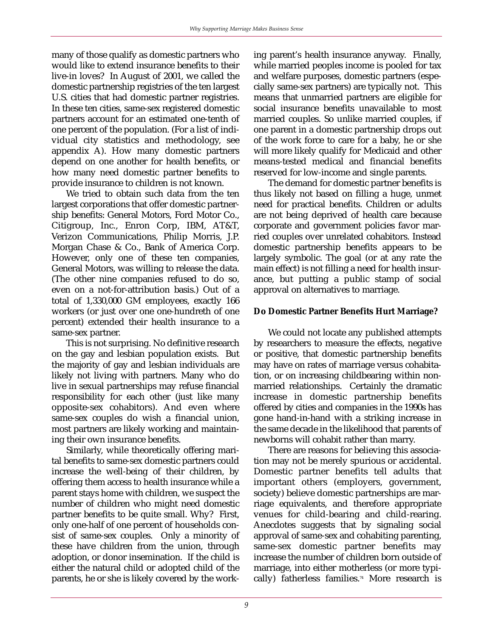many of those qualify as domestic partners who would like to extend insurance benefits to their live-in loves? In August of 2001, we called the domestic partnership registries of the ten largest U.S. cities that had domestic partner registries. In these ten cities, same-sex registered domestic partners account for an estimated one-tenth of one percent of the population. (For a list of individual city statistics and methodology, see appendix A). How many domestic partners depend on one another for health benefits, or how many need domestic partner benefits to provide insurance to children is not known.

We tried to obtain such data from the ten largest corporations that offer domestic partnership benefits: General Motors, Ford Motor Co., Citigroup, Inc., Enron Corp, IBM, AT&T, Verizon Communications, Philip Morris, J.P. Morgan Chase & Co., Bank of America Corp. However, only one of these ten companies, General Motors, was willing to release the data. (The other nine companies refused to do so, even on a not-for-attribution basis.) Out of a total of 1,330,000 GM employees, exactly 166 workers (or just over one one-hundreth of one percent) extended their health insurance to a same-sex partner.

This is not surprising. No definitive research on the gay and lesbian population exists. But the majority of gay and lesbian individuals are likely not living with partners. Many who do live in sexual partnerships may refuse financial responsibility for each other (just like many opposite-sex cohabitors). And even where same-sex couples do wish a financial union, most partners are likely working and maintaining their own insurance benefits.

Similarly, while theoretically offering marital benefits to same-sex domestic partners could increase the well-being of their children, by offering them access to health insurance while a parent stays home with children, we suspect the number of children who might need domestic partner benefits to be quite small. Why? First, only one-half of one percent of households consist of same-sex couples. Only a minority of these have children from the union, through adoption, or donor insemination. If the child is either the natural child or adopted child of the parents, he or she is likely covered by the working parent's health insurance anyway. Finally, while married peoples income is pooled for tax and welfare purposes, domestic partners (especially same-sex partners) are typically not. This means that unmarried partners are eligible for social insurance benefits unavailable to most married couples. So unlike married couples, if one parent in a domestic partnership drops out of the work force to care for a baby, he or she will more likely qualify for Medicaid and other means-tested medical and financial benefits reserved for low-income and single parents.

The demand for domestic partner benefits is thus likely not based on filling a huge, unmet need for practical benefits. Children or adults are not being deprived of health care because corporate and government policies favor married couples over unrelated cohabitors. Instead domestic partnership benefits appears to be largely symbolic. The goal (or at any rate the main effect) is not filling a need for health insurance, but putting a public stamp of social approval on alternatives to marriage.

## **Do Domestic Partner Benefits Hurt Marriage?**

We could not locate any published attempts by researchers to measure the effects, negative or positive, that domestic partnership benefits may have on rates of marriage versus cohabitation, or on increasing childbearing within nonmarried relationships. Certainly the dramatic increase in domestic partnership benefits offered by cities and companies in the 1990s has gone hand-in-hand with a striking increase in the same decade in the likelihood that parents of newborns will cohabit rather than marry.

There are reasons for believing this association may not be merely spurious or accidental. Domestic partner benefits tell adults that important others (employers, government, society) believe domestic partnerships are marriage equivalents, and therefore appropriate venues for child-bearing and child-rearing. Anecdotes suggests that by signaling social approval of same-sex and cohabiting parenting, same-sex domestic partner benefits may increase the number of children born outside of marriage, into either motherless (or more typically) fatherless families.<sup>74</sup> More research is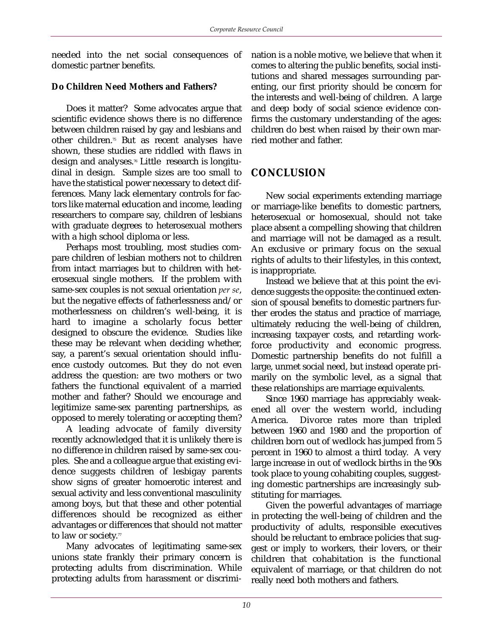needed into the net social consequences of domestic partner benefits.

#### **Do Children Need Mothers and Fathers?**

Does it matter? Some advocates argue that scientific evidence shows there is no difference between children raised by gay and lesbians and other children.75 But as recent analyses have shown, these studies are riddled with flaws in design and analyses.76 Little research is longitudinal in design. Sample sizes are too small to have the statistical power necessary to detect differences. Many lack elementary controls for factors like maternal education and income, leading researchers to compare say, children of lesbians with graduate degrees to heterosexual mothers with a high school diploma or less.

Perhaps most troubling, most studies compare children of lesbian mothers not to children from intact marriages but to children with heterosexual single mothers. If the problem with same-sex couples is not sexual orientation *per se*, but the negative effects of fatherlessness and/or motherlessness on children's well-being, it is hard to imagine a scholarly focus better designed to obscure the evidence. Studies like these may be relevant when deciding whether, say, a parent's sexual orientation should influence custody outcomes. But they do not even address the question: are two mothers or two fathers the functional equivalent of a married mother and father? Should we encourage and legitimize same-sex parenting partnerships, as opposed to merely tolerating or accepting them?

A leading advocate of family diversity recently acknowledged that it is unlikely there is no difference in children raised by same-sex couples. She and a colleague argue that existing evidence suggests children of lesbigay parents show signs of greater homoerotic interest and sexual activity and less conventional masculinity among boys, but that these and other potential differences should be recognized as either advantages or differences that should not matter to law or society.<sup>77</sup>

Many advocates of legitimating same-sex unions state frankly their primary concern is protecting adults from discrimination. While protecting adults from harassment or discrimination is a noble motive, we believe that when it comes to altering the public benefits, social institutions and shared messages surrounding parenting, our first priority should be concern for the interests and well-being of children. A large and deep body of social science evidence confirms the customary understanding of the ages: children do best when raised by their own married mother and father.

## **CONCLUSION**

New social experiments extending marriage or marriage-like benefits to domestic partners, heterosexual or homosexual, should not take place absent a compelling showing that children and marriage will not be damaged as a result. An exclusive or primary focus on the sexual rights of adults to their lifestyles, in this context, is inappropriate.

Instead we believe that at this point the evidence suggests the opposite: the continued extension of spousal benefits to domestic partners further erodes the status and practice of marriage, ultimately reducing the well-being of children, increasing taxpayer costs, and retarding workforce productivity and economic progress. Domestic partnership benefits do not fulfill a large, unmet social need, but instead operate primarily on the symbolic level, as a signal that these relationships are marriage equivalents.

Since 1960 marriage has appreciably weakened all over the western world, including America. Divorce rates more than tripled between 1960 and 1980 and the proportion of children born out of wedlock has jumped from 5 percent in 1960 to almost a third today. A very large increase in out of wedlock births in the 90s took place to young cohabiting couples, suggesting domestic partnerships are increasingly substituting for marriages.

Given the powerful advantages of marriage in protecting the well-being of children and the productivity of adults, responsible executives should be reluctant to embrace policies that suggest or imply to workers, their lovers, or their children that cohabitation is the functional equivalent of marriage, or that children do not really need both mothers and fathers.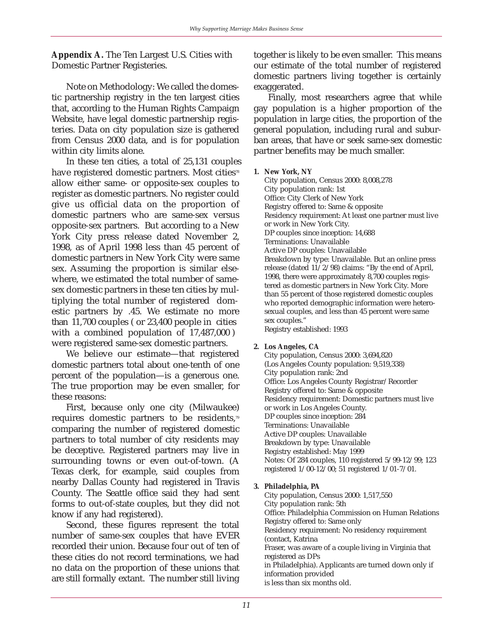**Appendix A.** The Ten Largest U.S. Cities with Domestic Partner Registeries.

Note on Methodology: We called the domestic partnership registry in the ten largest cities that, according to the Human Rights Campaign Website, have legal domestic partnership registeries. Data on city population size is gathered from Census 2000 data, and is for population within city limits alone.

In these ten cities, a total of 25,131 couples have registered domestic partners. Most cities<sup>78</sup> allow either same- or opposite-sex couples to register as domestic partners. No register could give us official data on the proportion of domestic partners who are same-sex versus opposite-sex partners. But according to a New York City press release dated November 2, 1998, as of April 1998 less than 45 percent of domestic partners in New York City were same sex. Assuming the proportion is similar elsewhere, we estimated the total number of samesex domestic partners in these ten cities by multiplying the total number of registered domestic partners by .45. We estimate no more than 11,700 couples ( or 23,400 people in cities with a combined population of 17,487,000 ) were registered same-sex domestic partners.

We believe our estimate—that registered domestic partners total about one-tenth of one percent of the population—is a generous one. The true proportion may be even smaller, for these reasons:

First, because only one city (Milwaukee) requires domestic partners to be residents,<sup>79</sup> comparing the number of registered domestic partners to total number of city residents may be deceptive. Registered partners may live in surrounding towns or even out-of-town. (A Texas clerk, for example, said couples from nearby Dallas County had registered in Travis County. The Seattle office said they had sent forms to out-of-state couples, but they did not know if any had registered).

Second, these figures represent the total number of same-sex couples that have EVER recorded their union. Because four out of ten of these cities do not record terminations, we had no data on the proportion of these unions that are still formally extant. The number still living together is likely to be even smaller. This means our estimate of the total number of registered domestic partners living together is certainly exaggerated.

Finally, most researchers agree that while gay population is a higher proportion of the population in large cities, the proportion of the general population, including rural and suburban areas, that have or seek same-sex domestic partner benefits may be much smaller.

#### **1. New York, NY**

City population, Census 2000: 8,008,278 City population rank: 1st Office: City Clerk of New York Registry offered to: Same & opposite Residency requirement: At least one partner must live or work in New York City. DP couples since inception: 14,688 Terminations: Unavailable Active DP couples: Unavailable Breakdown by type: Unavailable. But an online press release (dated 11/2/98) claims: "By the end of April, 1998, there were approximately 8,700 couples registered as domestic partners in New York City. More than 55 percent of those registered domestic couples who reported demographic information were heterosexual couples, and less than 45 percent were same sex couples."

Registry established: 1993

#### **2. Los Angeles, CA**

City population, Census 2000: 3,694,820 (Los Angeles County population: 9,519,338) City population rank: 2nd Office: Los Angeles County Registrar/Recorder Registry offered to: Same & opposite Residency requirement: Domestic partners must live or work in Los Angeles County. DP couples since inception: 284 Terminations: Unavailable Active DP couples: Unavailable Breakdown by type: Unavailable Registry established: May 1999 Notes: Of 284 couples, 110 registered 5/99-12/99; 123 registered 1/00-12/00; 51 registered 1/01-7/01.

#### **3. Philadelphia, PA**

City population, Census 2000: 1,517,550 City population rank: 5th Office: Philadelphia Commission on Human Relations Registry offered to: Same only Residency requirement: No residency requirement (contact, Katrina Fraser, was aware of a couple living in Virginia that registered as DPs in Philadelphia). Applicants are turned down only if information provided is less than six months old.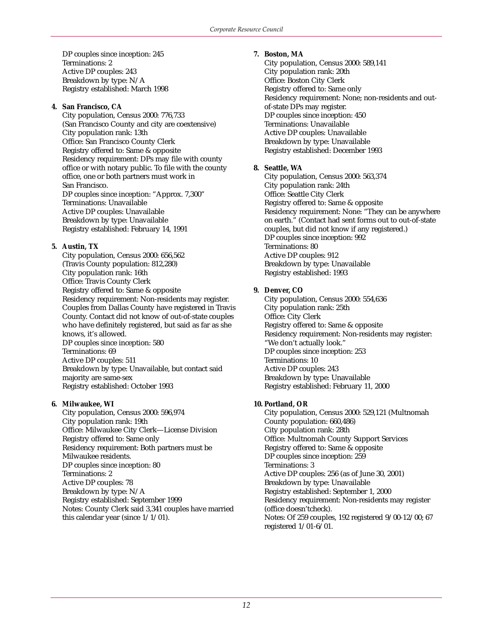DP couples since inception: 245 Terminations: 2 Active DP couples: 243 Breakdown by type: N/A Registry established: March 1998

#### **4. San Francisco, CA**

City population, Census 2000: 776,733 (San Francisco County and city are coextensive) City population rank: 13th Office: San Francisco County Clerk Registry offered to: Same & opposite Residency requirement: DPs may file with county office or with notary public. To file with the county office, one or both partners must work in San Francisco. DP couples since inception: "Approx. 7,300" Terminations: Unavailable Active DP couples: Unavailable Breakdown by type: Unavailable Registry established: February 14, 1991

#### **5. Austin, TX**

City population, Census 2000: 656,562 (Travis County population: 812,280) City population rank: 16th Office: Travis County Clerk Registry offered to: Same & opposite Residency requirement: Non-residents may register. Couples from Dallas County have registered in Travis County. Contact did not know of out-of-state couples who have definitely registered, but said as far as she knows, it's allowed. DP couples since inception: 580 Terminations: 69 Active DP couples: 511 Breakdown by type: Unavailable, but contact said majority are same-sex Registry established: October 1993

#### **6. Milwaukee, WI**

City population, Census 2000: 596,974 City population rank: 19th Office: Milwaukee City Clerk—License Division Registry offered to: Same only Residency requirement: Both partners must be Milwaukee residents. DP couples since inception: 80 Terminations: 2 Active DP couples: 78 Breakdown by type: N/A Registry established: September 1999 Notes: County Clerk said 3,341 couples have married this calendar year (since 1/1/01).

#### **7. Boston, MA**

City population, Census 2000: 589,141 City population rank: 20th Office: Boston City Clerk Registry offered to: Same only Residency requirement: None; non-residents and outof-state DPs may register. DP couples since inception: 450 Terminations: Unavailable Active DP couples: Unavailable Breakdown by type: Unavailable Registry established: December 1993

#### **8. Seattle, WA**

City population, Census 2000: 563,374 City population rank: 24th Office: Seattle City Clerk Registry offered to: Same & opposite Residency requirement: None: "They can be anywhere on earth." (Contact had sent forms out to out-of-state couples, but did not know if any registered.) DP couples since inception: 992 Terminations: 80 Active DP couples: 912 Breakdown by type: Unavailable Registry established: 1993

#### **9. Denver, CO**

City population, Census 2000: 554,636 City population rank: 25th Office: City Clerk Registry offered to: Same & opposite Residency requirement: Non-residents may register: "We don't actually look." DP couples since inception: 253 Terminations: 10 Active DP couples: 243 Breakdown by type: Unavailable Registry established: February 11, 2000

#### **10. Portland, OR**

City population, Census 2000: 529,121 (Multnomah County population: 660,486) City population rank: 28th Office: Multnomah County Support Services Registry offered to: Same & opposite DP couples since inception: 259 Terminations: 3 Active DP couples: 256 (as of June 30, 2001) Breakdown by type: Unavailable Registry established: September 1, 2000 Residency requirement: Non-residents may register (office doesn'tcheck). Notes: Of 259 couples, 192 registered 9/00-12/00; 67 registered 1/01-6/01.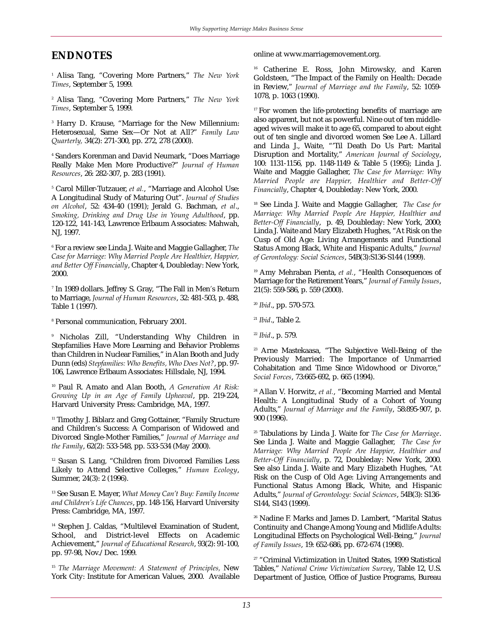# **ENDNOTES**

<sup>1</sup> Alisa Tang, "Covering More Partners," *The New York Times*, September 5, 1999.

<sup>2</sup> Alisa Tang, "Covering More Partners," *The New York Times*, September 5, 1999.

<sup>3</sup> Harry D. Krause, "Marriage for the New Millennium: Heterosexual, Same Sex—Or Not at All?" *Family Law Quarterly,* 34(2): 271-300, pp. 272, 278 (2000).

<sup>4</sup> Sanders Korenman and David Neumark, "Does Marriage Really Make Men More Productive?" *Journal of Human Resources*, 26: 282-307, p. 283 (1991).

<sup>5</sup> Carol Miller-Tutzauer, *et al.*, "Marriage and Alcohol Use: A Longitudinal Study of Maturing Out". *Journal of Studies on Alcohol*, 52: 434-40 (1991); Jerald G. Bachman, *et al*., *Smoking, Drinking and Drug Use in Young Adulthood*, pp. 120-122, 141-143, Lawrence Erlbaum Associates: Mahwah, NJ, 1997.

<sup>6</sup> For a review see Linda J. Waite and Maggie Gallagher, *The Case for Marriage: Why Married People Are Healthier, Happier, and Better Off Financially*, Chapter 4, Doubleday: New York, 2000.

<sup>7</sup> In 1989 dollars. Jeffrey S. Gray, "The Fall in Men*'*s Return to Marriage, *Journal of Human Resources*, 32: 481-503, p. 488, Table 1 (1997).

<sup>8</sup> Personal communication, February 2001.

<sup>9</sup> Nicholas Zill, "Understanding Why Children in Stepfamilies Have More Learning and Behavior Problems than Children in Nuclear Families," in Alan Booth and Judy Dunn (eds) *Stepfamilies: Who Benefits, Who Does Not?*, pp. 97- 106, Lawrence Erlbaum Associates: Hillsdale, NJ, 1994.

<sup>10</sup> Paul R. Amato and Alan Booth, *A Generation At Risk: Growing Up in an Age of Family Upheaval*, pp. 219-224, Harvard University Press: Cambridge, MA, 1997.

<sup>11</sup> Timothy J. Biblarz and Greg Gottainer, "Family Structure and Children's Success: A Comparison of Widowed and Divorced Single-Mother Families," *Journal of Marriage and the Family*, 62(2): 533-548, pp. 533-534 (May 2000).

<sup>12</sup> Susan S. Lang, "Children from Divorced Families Less Likely to Attend Selective Colleges," *Human Ecology*, Summer, 24(3): 2 (1996).

<sup>13</sup> See Susan E. Mayer, *What Money Can't Buy: Family Income and Children's Life Chances*, pp. 148-156, Harvard University Press: Cambridge, MA, 1997.

<sup>14</sup> Stephen J. Caldas, "Multilevel Examination of Student, School, and District-level Effects on Academic Achievement," *Journal of Educational Research*, 93(2): 91-100, pp. 97-98, Nov./Dec. 1999.

<sup>15</sup> *The Marriage Movement: A Statement of Principles,* New York City: Institute for American Values, 2000. Available online at www.marriagemovement.org.

<sup>16</sup> Catherine E. Ross, John Mirowsky, and Karen Goldsteen, "The Impact of the Family on Health: Decade in Review," *Journal of Marriage and the Family*, 52: 1059- 1078, p. 1063 (1990).

<sup>17</sup> For women the life-protecting benefits of marriage are also apparent, but not as powerful. Nine out of ten middleaged wives will make it to age 65, compared to about eight out of ten single and divorced women See Lee A. Lillard and Linda J., Waite, "'Til Death Do Us Part: Marital Disruption and Mortality," *American Journal of Sociology*, 100: 1131-1156, pp. 1148-1149 & Table 5 (1995); Linda J. Waite and Maggie Gallagher, *The Case for Marriage: Why Married People are Happier, Healthier and Better-Off Financially*, Chapter 4, Doubleday: New York, 2000.

<sup>18</sup> See Linda J. Waite and Maggie Gallagher, *The Case for Marriage: Why Married People Are Happier, Healthier and Better-Off Financially*, p. 49, Doubleday: New York, 2000; Linda J. Waite and Mary Elizabeth Hughes, "At Risk on the Cusp of Old Age: Living Arrangements and Functional Status Among Black, White and Hispanic Adults," *Journal of Gerontology: Social Sciences*, 54B(3):S136-S144 (1999).

<sup>19</sup> Amy Mehraban Pienta, et al., "Health Consequences of Marriage for the Retirement Years," *Journal of Family Issues*, 21(5): 559-586, p. 559 (2000).

<sup>20</sup> *Ibid*., pp. 570-573.

<sup>21</sup> *Ibid*., Table 2.

<sup>22</sup> *Ibid*., p. 579.

<sup>23</sup> Arne Mastekaasa, "The Subjective Well-Being of the Previously Married: The Importance of Unmarried Cohabitation and Time Since Widowhood or Divorce," *Social Forces*, 73:665-692, p. 665 (1994).

<sup>24</sup> Allan V. Horwitz, *et al.*, "Becoming Married and Mental Health: A Longitudinal Study of a Cohort of Young Adults," *Journal of Marriage and the Family*, 58:895-907, p. 900 (1996).

<sup>25</sup> Tabulations by Linda J. Waite for *The Case for Marriage*. See Linda J. Waite and Maggie Gallagher, *The Case for Marriage: Why Married People Are Happier, Healthier and Better-Off Financially*, p. 72, Doubleday: New York, 2000. See also Linda J. Waite and Mary Elizabeth Hughes, "At Risk on the Cusp of Old Age: Living Arrangements and Functional Status Among Black, White, and Hispanic Adults," *Journal of Gerontology: Social Sciences*, 54B(3): S136- S144, S143 (1999).

<sup>26</sup> Nadine F. Marks and James D. Lambert, "Marital Status Continuity and Change Among Young and Midlife Adults: Longitudinal Effects on Psychological Well-Being," *Journal of Family Issues*, 19: 652-686, pp. 672-674 (1998).

<sup>27</sup> "Criminal Victimization in United States, 1999 Statistical Tables," *National Crime Victimization Survey*, Table 12, U.S. Department of Justice, Office of Justice Programs, Bureau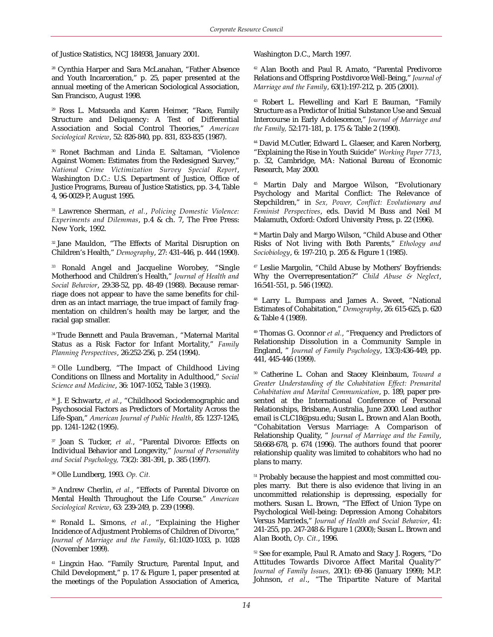of Justice Statistics, NCJ 184938, January 2001.

<sup>28</sup> Cynthia Harper and Sara McLanahan, "Father Absence and Youth Incarceration," p. 25, paper presented at the annual meeting of the American Sociological Association, San Francisco, August 1998.

<sup>29</sup> Ross L. Matsueda and Karen Heimer, "Race, Family Structure and Deliquency: A Test of Differential Association and Social Control Theories," *American Sociological Review*, 52: 826-840, pp. 831, 833-835 (1987).

<sup>30</sup> Ronet Bachman and Linda E. Saltaman, "Violence Against Women: Estimates from the Redesigned Survey," *National Crime Victimization Survey Special Report*, Washington D.C.: U.S. Department of Justice, Office of Justice Programs, Bureau of Justice Statistics, pp. 3-4, Table 4, 96-0029-P, August 1995.

<sup>31</sup> Lawrence Sherman, *et al.*, *Policing Domestic Violence: Experiments and Dilemmas*, p.4 & ch. 7, The Free Press: New York, 1992.

32 Jane Mauldon, "The Effects of Marital Disruption on Children's Health," *Demography*, 27: 431-446, p. 444 (1990).

<sup>33</sup> Ronald Angel and Jacqueline Worobey, "Single Motherhood and Children's Health," *Journal of Health and Social Behavior*, 29:38-52, pp. 48-49 (1988). Because remarriage does not appear to have the same benefits for children as an intact marriage, the true impact of family fragmentation on children's health may be larger, and the racial gap smaller.

34 Trude Bennett and Paula Braveman*.*, "Maternal Marital Status as a Risk Factor for Infant Mortality," *Family Planning Perspectives*, 26:252-256, p. 254 (1994).

<sup>35</sup> Olle Lundberg, "The Impact of Childhood Living Conditions on Illness and Mortality in Adulthood," *Social Science and Medicine*, 36: 1047-1052, Table 3 (1993).

<sup>36</sup> J. E Schwartz, *et al.*, "Childhood Sociodemographic and Psychosocial Factors as Predictors of Mortality Across the Life-Span," *American Journal of Public Health*, 85: 1237-1245, pp. 1241-1242 (1995).

<sup>37</sup> Joan S. Tucker, *et al.*, "Parental Divorce: Effects on Individual Behavior and Longevity," *Journal of Personality and Social Psychology,* 73(2): 381-391, p. 385 (1997).

<sup>38</sup> Olle Lundberg, 1993. *Op. Cit.*

<sup>39</sup> Andrew Cherlin, et al., "Effects of Parental Divorce on Mental Health Throughout the Life Course." *American Sociological Review*, 63: 239-249, p. 239 (1998).

<sup>40</sup> Ronald L. Simons, *et al.*, "Explaining the Higher Incidence of Adjustment Problems of Children of Divorce," *Journal of Marriage and the Family*, 61:1020-1033, p. 1028 (November 1999).

<sup>41</sup> Lingxin Hao. "Family Structure, Parental Input, and Child Development," p. 17 & Figure 1, paper presented at the meetings of the Population Association of America,

Washington D.C., March 1997.

<sup>42</sup> Alan Booth and Paul R. Amato, "Parental Predivorce Relations and Offspring Postdivorce Well-Being," *Journal of Marriage and the Family*, 63(1):197-212, p. 205 (2001).

<sup>43</sup> Robert L. Flewelling and Karl E Bauman, "Family Structure as a Predictor of Initial Substance Use and Sexual Intercourse in Early Adolescence," *Journal of Marriage and the Family,* 52:171-181, p. 175 & Table 2 (1990).

<sup>44</sup> David M.Cutler, Edward L. Glaeser, and Karen Norberg, "Explaining the Rise in Youth Suicide" *Working Paper 7713*, p. 32, Cambridge, MA: National Bureau of Economic Research, May 2000.

<sup>45</sup> Martin Daly and Margoe Wilson, "Evolutionary Psychology and Marital Conflict: The Relevance of Stepchildren," in *Sex, Power, Conflict: Evolutionary and Feminist Perspectives*, eds. David M Buss and Neil M Malamuth, Oxford: Oxford University Press, p. 22 (1996).

<sup>46</sup> Martin Daly and Margo Wilson, "Child Abuse and Other Risks of Not living with Both Parents," *Ethology and Sociobiology*, 6: 197-210, p. 205 & Figure 1 (1985).

<sup>47</sup> Leslie Margolin, "Child Abuse by Mothers' Boyfriends: Why the Overrepresentation?" *Child Abuse & Neglect*, 16:541-551, p. 546 (1992).

<sup>48</sup> Larry L. Bumpass and James A. Sweet, "National Estimates of Cohabitation," *Demography*, 26: 615-625, p. 620 & Table 4 (1989).

<sup>49</sup> Thomas G. Oconnor *et al.*, "Frequency and Predictors of Relationship Dissolution in a Community Sample in England, " *Journal of Family Psychology*, 13(3):436-449, pp. 441, 445-446 (1999).

<sup>50</sup> Catherine L. Cohan and Stacey Kleinbaum, *Toward a Greater Understanding of the Cohabitation Effect: Premarital Cohabitation and Marital Communication*, p. 189, paper presented at the International Conference of Personal Relationships, Brisbane, Australia, June 2000. Lead author email is CLC18@psu.edu; Susan L. Brown and Alan Booth, "Cohabitation Versus Marriage: A Comparison of Relationship Quality, " *Journal of Marriage and the Family*, 58:668-678, p. 674 (1996). The authors found that poorer relationship quality was limited to cohabitors who had no plans to marry.

<sup>51</sup> Probably because the happiest and most committed couples marry. But there is also evidence that living in an uncommitted relationship is depressing, especially for mothers. Susan L. Brown, "The Effect of Union Type on Psychological Well-being: Depression Among Cohabitors Versus Marrieds," *Journal of Health and Social Behavior*, 41: 241-255, pp. 247-248 & Figure 1 (2000); Susan L. Brown and Alan Booth, *Op. Cit.*, 1996.

<sup>52</sup> See for example, Paul R. Amato and Stacy J. Rogers, "Do Attitudes Towards Divorce Affect Marital Quality?" *Journal of Family Issues,* 20(1): 69-86 (January 1999); M.P. Johnson, *et al*., "The Tripartite Nature of Marital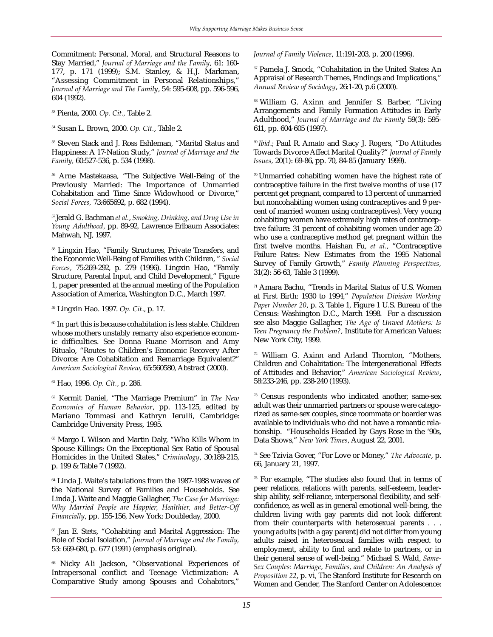Commitment: Personal, Moral, and Structural Reasons to Stay Married," *Journal of Marriage and the Family*, 61: 160- 177, p. 171 (1999); S.M. Stanley, & H.J. Markman, "Assessing Commitment in Personal Relationships," *Journal of Marriage and The Family*, 54: 595-608, pp. 596-596, 604 (1992).

<sup>53</sup> Pienta, 2000. *Op. Cit.,* Table 2.

<sup>54</sup> Susan L. Brown, 2000. *Op. Cit.*, Table 2.

<sup>55</sup> Steven Stack and J. Ross Eshleman, "Marital Status and Happiness: A 17-Nation Study," *Journal of Marriage and the Family,* 60:527-536, p. 534 (1998).

<sup>56</sup> Arne Mastekaasa, "The Subjective Well-Being of the Previously Married: The Importance of Unmarried Cohabitation and Time Since Widowhood or Divorce," *Social Forces,* 73:665692, p. 682 (1994).

57 Jerald G. Bachman *et al.*, *Smoking, Drinking, and Drug Use in Young Adulthood*, pp. 89-92, Lawrence Erlbaum Associates: Mahwah, NJ, 1997.

<sup>58</sup> Lingxin Hao, "Family Structures, Private Transfers, and the Economic Well-Being of Families with Children, " *Social Forces,* 75:269-292, p. 279 (1996). Lingxin Hao, "Family Structure, Parental Input, and Child Development," Figure 1, paper presented at the annual meeting of the Population Association of America, Washington D.C., March 1997.

<sup>59</sup> Lingxin Hao. 1997. *Op. Cit*., p. 17.

<sup>60</sup> In part this is because cohabitation is less stable. Children whose mothers unstably remarry also experience economic difficulties. See Donna Ruane Morrison and Amy Ritualo, "Routes to Children's Economic Recovery After Divorce: Are Cohabitation and Remarriage Equivalent?" *American Sociological Review,* 65:560580, Abstract (2000).

<sup>61</sup> Hao, 1996. *Op. Cit.*, p. 286.

<sup>62</sup> Kermit Daniel, "The Marriage Premium" in *The New Economics of Human Behavior*, pp. 113-125, edited by Mariano Tommasi and Kathryn Ierulli, Cambridge: Cambridge University Press, 1995.

<sup>63</sup> Margo I. Wilson and Martin Daly, "Who Kills Whom in Spouse Killings: On the Exceptional Sex Ratio of Spousal Homicides in the United States," *Criminology*, 30:189-215, p. 199 & Table 7 (1992).

<sup>64</sup> Linda J. Waite's tabulations from the 1987-1988 waves of the National Survey of Families and Households. See Linda J. Waite and Maggie Gallagher, *The Case for Marriage: Why Married People are Happier, Healthier, and Better-Off Financially*, pp. 155-156, New York: Doubleday, 2000.

<sup>65</sup> Jan E. Stets, "Cohabiting and Marital Aggression: The Role of Social Isolation," *Journal of Marriage and the Family,* 53: 669-680, p. 677 (1991) (emphasis original).

<sup>66</sup> Nicky Ali Jackson, "Observational Experiences of Intrapersonal conflict and Teenage Victimization: A Comparative Study among Spouses and Cohabitors,"

*Journal of Family Violence*, 11:191-203, p. 200 (1996).

<sup>67</sup> Pamela J. Smock, "Cohabitation in the United States: An Appraisal of Research Themes, Findings and Implications," *Annual Review of Sociology*, 26:1-20, p.6 (2000).

<sup>68</sup> William G. Axinn and Jennifer S. Barber, "Living Arrangements and Family Formation Attitudes in Early Adulthood," *Journal of Marriage and the Family* 59(3): 595- 611, pp. 604-605 (1997).

<sup>69</sup> Ibid.; Paul R. Amato and Stacy J. Rogers, "Do Attitudes Towards Divorce Affect Marital Quality?" *Journal of Family Issues,* 20(1): 69-86, pp. 70, 84-85 (January 1999).

70 Unmarried cohabiting women have the highest rate of contraceptive failure in the first twelve months of use (17 percent get pregnant, compared to 13 percent of unmarried but noncohabiting women using contraceptives and 9 percent of married women using contraceptives). Very young cohabiting women have extremely high rates of contraceptive failure: 31 percent of cohabiting women under age 20 who use a contraceptive method get pregnant within the first twelve months. Haishan Fu, *et al.*, "Contraceptive Failure Rates: New Estimates from the 1995 National Survey of Family Growth," *Family Planning Perspectives,* 31(2): 56-63, Table 3 (1999).

 $71$  Amara Bachu, "Trends in Marital Status of U.S. Women at First Birth: 1930 to 1994," *Population Division Working Paper Number 20*, p. 3, Table 1, Figure 1 U.S. Bureau of the Census: Washington D.C., March 1998. For a discussion see also Maggie Gallagher, *The Age of Unwed Mothers: Is Teen Pregnancy the Problem?,* Institute for American Values: New York City, 1999.

<sup>72</sup> William G. Axinn and Arland Thornton, "Mothers, Children and Cohabitation: The Intergenerational Effects of Attitudes and Behavior," *American Sociological Review*, 58:233-246, pp. 238-240 (1993).

<sup>73</sup> Census respondents who indicated another, same-sex adult was their unmarried partners or spouse were categorized as same-sex couples, since roommate or boarder was available to individuals who did not have a romantic relationship. "Households Headed by Gays Rose in the '90s, Data Shows," *New York Times*, August 22, 2001.

<sup>74</sup> See Tzivia Gover, "For Love or Money," *The Advocate*, p. 66, January 21, 1997.

 $75$  For example, "The studies also found that in terms of peer relations, relations with parents, self-esteem, leadership ability, self-reliance, interpersonal flexibility, and selfconfidence, as well as in general emotional well-being, the children living with gay parents did not look different from their counterparts with heterosexual parents . . . young adults [with a gay parent] did not differ from young adults raised in heterosexual families with respect to employment, ability to find and relate to partners, or in their general sense of well-being." Michael S. Wald, *Same-Sex Couples: Marriage, Families, and Children: An Analysis of Proposition 22*, p. vi, The Stanford Institute for Research on Women and Gender, The Stanford Center on Adolescence: